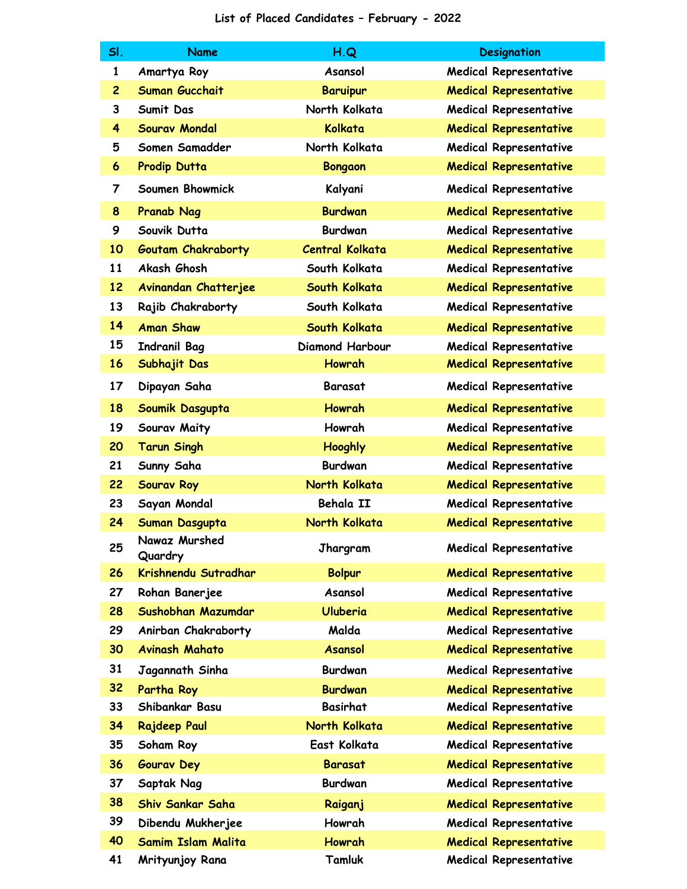## **List of Placed Candidates – February - 2022**

| SI.            | <b>Name</b>               | H.Q                    | <b>Designation</b>            |
|----------------|---------------------------|------------------------|-------------------------------|
| $\mathbf{1}$   | Amartya Roy               | Asansol                | <b>Medical Representative</b> |
| $\overline{c}$ | <b>Suman Gucchait</b>     | <b>Baruipur</b>        | <b>Medical Representative</b> |
| 3              | Sumit Das                 | North Kolkata          | <b>Medical Representative</b> |
| 4              | <b>Sourav Mondal</b>      | Kolkata                | <b>Medical Representative</b> |
| 5              | Somen Samadder            | North Kolkata          | <b>Medical Representative</b> |
| 6              | Prodip Dutta              | <b>Bongaon</b>         | <b>Medical Representative</b> |
| 7              | Soumen Bhowmick           | Kalyani                | <b>Medical Representative</b> |
| 8              | <b>Pranab Nag</b>         | <b>Burdwan</b>         | <b>Medical Representative</b> |
| 9              | Souvik Dutta              | <b>Burdwan</b>         | <b>Medical Representative</b> |
| 10             | <b>Goutam Chakraborty</b> | <b>Central Kolkata</b> | <b>Medical Representative</b> |
| 11             | Akash Ghosh               | South Kolkata          | <b>Medical Representative</b> |
| 12             | Avinandan Chatterjee      | South Kolkata          | <b>Medical Representative</b> |
| 13             | Rajib Chakraborty         | South Kolkata          | Medical Representative        |
| 14             | <b>Aman Shaw</b>          | South Kolkata          | <b>Medical Representative</b> |
| 15             | <b>Indranil Bag</b>       | Diamond Harbour        | <b>Medical Representative</b> |
| 16             | Subhajit Das              | <b>Howrah</b>          | <b>Medical Representative</b> |
| 17             | Dipayan Saha              | <b>Barasat</b>         | <b>Medical Representative</b> |
| 18             | Soumik Dasgupta           | <b>Howrah</b>          | <b>Medical Representative</b> |
| 19             | Sourav Maity              | Howrah                 | <b>Medical Representative</b> |
| 20             | <b>Tarun Singh</b>        | <b>Hooghly</b>         | <b>Medical Representative</b> |
| 21             | Sunny Saha                | <b>Burdwan</b>         | <b>Medical Representative</b> |
| 22             | <b>Sourav Roy</b>         | North Kolkata          | <b>Medical Representative</b> |
| 23             | Sayan Mondal              | Behala II              | <b>Medical Representative</b> |
| 24             | Suman Dasgupta            | North Kolkata          | <b>Medical Representative</b> |
| 25             | Nawaz Murshed<br>Quardry  | Jhargram               | <b>Medical Representative</b> |
| 26             | Krishnendu Sutradhar      | <b>Bolpur</b>          | <b>Medical Representative</b> |
| 27             | Rohan Banerjee            | Asansol                | <b>Medical Representative</b> |
| 28             | Sushobhan Mazumdar        | <b>Uluberia</b>        | <b>Medical Representative</b> |
| 29             | Anirban Chakraborty       | Malda                  | <b>Medical Representative</b> |
| 30             | <b>Avinash Mahato</b>     | <b>Asansol</b>         | <b>Medical Representative</b> |
| 31             | Jagannath Sinha           | <b>Burdwan</b>         | <b>Medical Representative</b> |
| 32             | Partha Roy                | <b>Burdwan</b>         | <b>Medical Representative</b> |
| 33             | Shibankar Basu            | <b>Basirhat</b>        | <b>Medical Representative</b> |
| 34             | <b>Rajdeep Paul</b>       | North Kolkata          | <b>Medical Representative</b> |
| 35             | Soham Roy                 | East Kolkata           | <b>Medical Representative</b> |
| 36             | <b>Gourav Dey</b>         | <b>Barasat</b>         | <b>Medical Representative</b> |
| 37             | Saptak Nag                | <b>Burdwan</b>         | <b>Medical Representative</b> |
| 38             | <b>Shiv Sankar Saha</b>   | Raiganj                | <b>Medical Representative</b> |
| 39             | Dibendu Mukherjee         | Howrah                 | <b>Medical Representative</b> |
| 40             | <b>Samim Islam Malita</b> | <b>Howrah</b>          | <b>Medical Representative</b> |
| 41             | Mrityunjoy Rana           | Tamluk                 | <b>Medical Representative</b> |